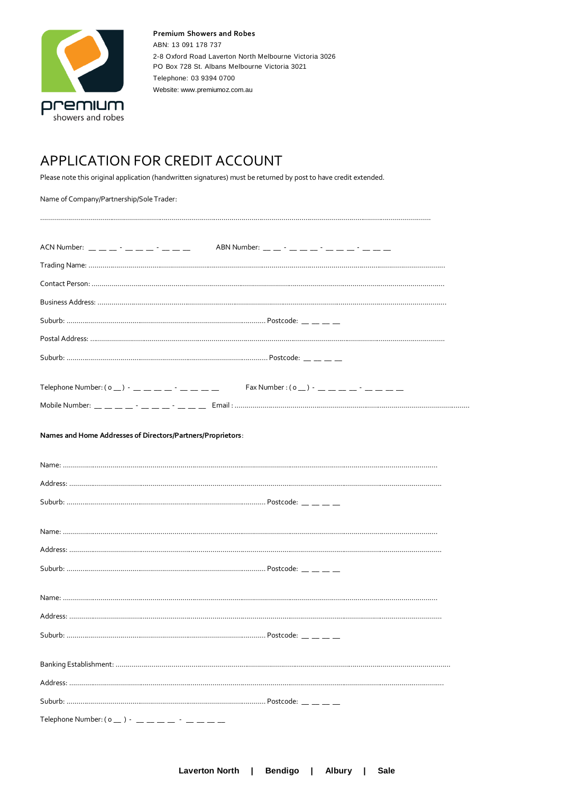

## APPLICATION FOR CREDIT ACCOUNT

Please note this original application (handwritten signatures) must be returned by post to have credit extended.

| Name of Company/Partnership/Sole Trader:                    |                                                                                                                                                                                                                                                                                                                    |  |
|-------------------------------------------------------------|--------------------------------------------------------------------------------------------------------------------------------------------------------------------------------------------------------------------------------------------------------------------------------------------------------------------|--|
| ACN Number: __ __ __ - __ __ - __ - __ __                   |                                                                                                                                                                                                                                                                                                                    |  |
|                                                             |                                                                                                                                                                                                                                                                                                                    |  |
|                                                             |                                                                                                                                                                                                                                                                                                                    |  |
|                                                             |                                                                                                                                                                                                                                                                                                                    |  |
|                                                             |                                                                                                                                                                                                                                                                                                                    |  |
|                                                             |                                                                                                                                                                                                                                                                                                                    |  |
|                                                             |                                                                                                                                                                                                                                                                                                                    |  |
| Telephone Number: ( $\circ$ _ ) - _ _ _ _ _ - _ -           | Fax Number : $(0 - )          -$                                                                                                                                                                                                                                                                                   |  |
|                                                             | Mobile Number: $\frac{1}{1}$ $\frac{1}{1}$ $\frac{1}{1}$ $\frac{1}{1}$ $\frac{1}{1}$ $\frac{1}{1}$ $\frac{1}{1}$ $\frac{1}{1}$ $\frac{1}{1}$ $\frac{1}{1}$ $\frac{1}{1}$ $\frac{1}{1}$ $\frac{1}{1}$ $\frac{1}{1}$ $\frac{1}{1}$ $\frac{1}{1}$ $\frac{1}{1}$ $\frac{1}{1}$ $\frac{1}{1}$ $\frac{1}{1}$ $\frac{1}{$ |  |
| Names and Home Addresses of Directors/Partners/Proprietors: |                                                                                                                                                                                                                                                                                                                    |  |
|                                                             |                                                                                                                                                                                                                                                                                                                    |  |
|                                                             |                                                                                                                                                                                                                                                                                                                    |  |
|                                                             |                                                                                                                                                                                                                                                                                                                    |  |
|                                                             |                                                                                                                                                                                                                                                                                                                    |  |
|                                                             |                                                                                                                                                                                                                                                                                                                    |  |
|                                                             |                                                                                                                                                                                                                                                                                                                    |  |
|                                                             |                                                                                                                                                                                                                                                                                                                    |  |
|                                                             |                                                                                                                                                                                                                                                                                                                    |  |
|                                                             |                                                                                                                                                                                                                                                                                                                    |  |
|                                                             |                                                                                                                                                                                                                                                                                                                    |  |
|                                                             |                                                                                                                                                                                                                                                                                                                    |  |
|                                                             |                                                                                                                                                                                                                                                                                                                    |  |
|                                                             |                                                                                                                                                                                                                                                                                                                    |  |
|                                                             |                                                                                                                                                                                                                                                                                                                    |  |
|                                                             |                                                                                                                                                                                                                                                                                                                    |  |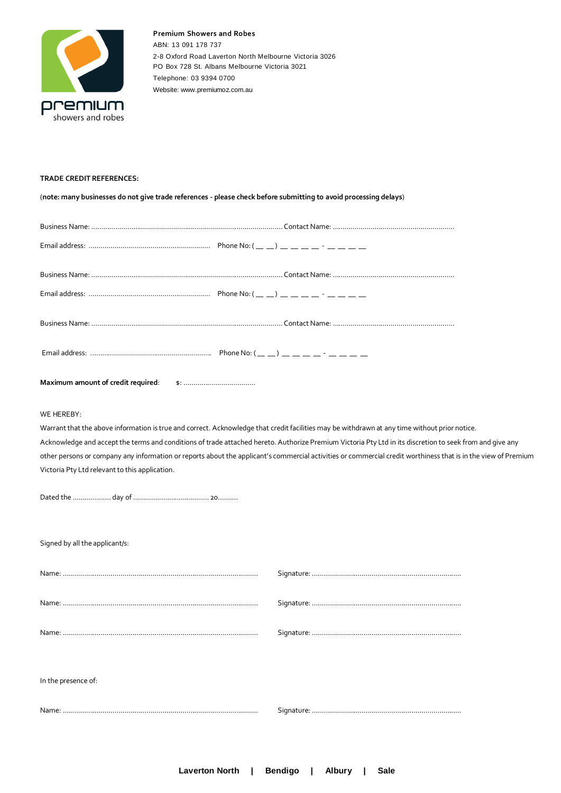

## **TRADE CREDIT REFERENCES:**

(**note: many businesses do not give trade references - please check before submitting to avoid processing delays**)

| Maximum amount of credit required:                                                                                                                                                                                                                                                                                                                                                                                                                                                                                                          |  |  |  |
|---------------------------------------------------------------------------------------------------------------------------------------------------------------------------------------------------------------------------------------------------------------------------------------------------------------------------------------------------------------------------------------------------------------------------------------------------------------------------------------------------------------------------------------------|--|--|--|
| WE HEREBY:<br>Warrant that the above information is true and correct. Acknowledge that credit facilities may be withdrawn at any time without prior notice.<br>Acknowledge and accept the terms and conditions of trade attached hereto. Authorize Premium Victoria Pty Ltd in its discretion to seek from and give any<br>other persons or company any information or reports about the applicant's commercial activities or commercial credit worthiness that is in the view of Premium<br>Victoria Pty Ltd relevant to this application. |  |  |  |
| Signed by all the applicant/s:                                                                                                                                                                                                                                                                                                                                                                                                                                                                                                              |  |  |  |
|                                                                                                                                                                                                                                                                                                                                                                                                                                                                                                                                             |  |  |  |
|                                                                                                                                                                                                                                                                                                                                                                                                                                                                                                                                             |  |  |  |
| Name:                                                                                                                                                                                                                                                                                                                                                                                                                                                                                                                                       |  |  |  |
| In the presence of:                                                                                                                                                                                                                                                                                                                                                                                                                                                                                                                         |  |  |  |
|                                                                                                                                                                                                                                                                                                                                                                                                                                                                                                                                             |  |  |  |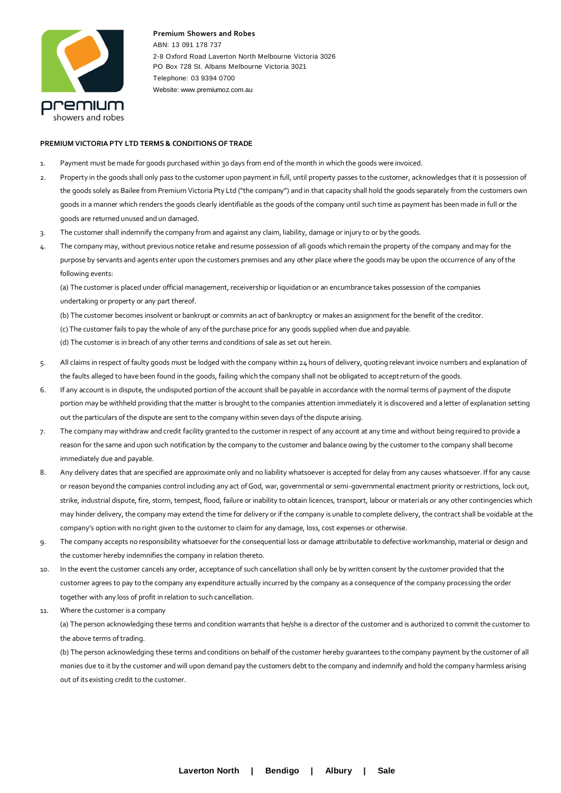

## **PREMIUM VICTORIA PTY LTD TERMS & CONDITIONS OF TRADE**

- 1. Payment must be made for goods purchased within 30 days from end of the month in which the goods were invoiced.
- 2. Property in the goods shall only pass to the customer upon payment in full, until property passes to the customer, acknowledges that it is possession of the goods solely as Bailee from Premium Victoria Pty Ltd ("the company") and in that capacity shall hold the goods separately from the customers own goods in a manner which renders the goods clearly identifiable as the goods of the company until such time as payment has been made in full or the goods are returned unused and un damaged.
- 3. The customer shall indemnify the company from and against any claim, liability, damage or injury to or by the goods.
- 4. The company may, without previous notice retake and resume possession of all goods which remain the property of the company and may for the purpose by servants and agents enter upon the customers premises and any other place where the goods may be upon the occurrence of any of the following events:

(a) The customer is placed under official management, receivership or liquidation or an encumbrance takes possession of the companies undertaking or property or any part thereof.

- (b) The customer becomes insolvent or bankrupt or commits an act of bankruptcy or makes an assignment for the benefit of the creditor.
- (c) The customer fails to pay the whole of any of the purchase price for any goods supplied when due and payable.
- (d) The customer is in breach of any other terms and conditions of sale as set out herein.
- 5. All claims in respect of faulty goods must be lodged with the company within 24 hours of delivery, quoting relevant invoice numbers and explanation of the faults alleged to have been found in the goods, failing which the company shall not be obligated to accept return of the goods.
- 6. If any account is in dispute, the undisputed portion of the account shall be payable in accordance with the normal terms of payment of the dispute portion may be withheld providing that the matter is brought to the companies attention immediately it is discovered and a letter of explanation setting out the particulars of the dispute are sent to the company within seven days of the dispute arising.
- 7. The company may withdraw and credit facility granted to the customer in respect of any account at any time and without being required to provide a reason for the same and upon such notification by the company to the customer and balance owing by the customer to the company shall become immediately due and payable.
- 8. Any delivery dates that are specified are approximate only and no liability whatsoever is accepted for delay from any causes whatsoever. If for any cause or reason beyond the companies control including any act of God, war, governmental or semi-governmental enactment priority or restrictions, lock out, strike, industrial dispute, fire, storm, tempest, flood, failure or inability to obtain licences, transport, labour or materials or any other contingencies which may hinder delivery, the company may extend the time for delivery or if the company is unable to complete delivery, the contract shall be voidable at the company's option with no right given to the customer to claim for any damage, loss, cost expenses or otherwise.
- 9. The company accepts no responsibility whatsoever for the consequential loss or damage attributable to defective workmanship, material or design and the customer hereby indemnifies the company in relation thereto.
- 10. In the event the customer cancels any order, acceptance of such cancellation shall only be by written consent by the customer provided that the customer agrees to pay to the company any expenditure actually incurred by the company as a consequence of the company processing the order together with any loss of profit in relation to such cancellation.
- 11. Where the customer is a company

(a) The person acknowledging these terms and condition warrants that he/she is a director of the customer and is authorized to commit the customer to the above terms of trading.

(b) The person acknowledging these terms and conditions on behalf of the customer hereby guarantees to the company payment by the customer of all monies due to it by the customer and will upon demand pay the customers debt to the company and indemnify and hold the company harmless arising out of its existing credit to the customer.